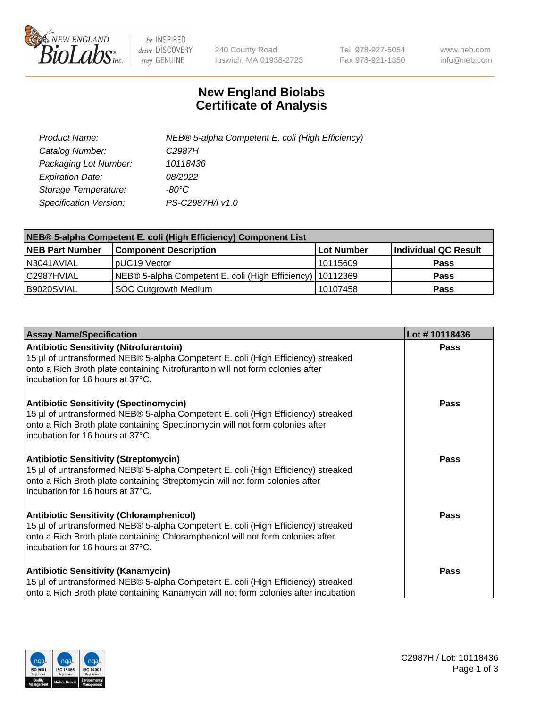

 $be$  INSPIRED drive DISCOVERY stay GENUINE

240 County Road Ipswich, MA 01938-2723 Tel 978-927-5054 Fax 978-921-1350 www.neb.com info@neb.com

## **New England Biolabs Certificate of Analysis**

| Product Name:           | NEB® 5-alpha Competent E. coli (High Efficiency) |
|-------------------------|--------------------------------------------------|
| Catalog Number:         | C <sub>2987</sub> H                              |
| Packaging Lot Number:   | 10118436                                         |
| <b>Expiration Date:</b> | 08/2022                                          |
| Storage Temperature:    | -80°C                                            |
| Specification Version:  | PS-C2987H/I v1.0                                 |

| NEB® 5-alpha Competent E. coli (High Efficiency) Component List |                                                             |                   |                      |  |
|-----------------------------------------------------------------|-------------------------------------------------------------|-------------------|----------------------|--|
| <b>NEB Part Number</b>                                          | <b>Component Description</b>                                | <b>Lot Number</b> | Individual QC Result |  |
| N3041AVIAL                                                      | pUC19 Vector                                                | 10115609          | <b>Pass</b>          |  |
| C2987HVIAL                                                      | NEB® 5-alpha Competent E. coli (High Efficiency)   10112369 |                   | <b>Pass</b>          |  |
| B9020SVIAL                                                      | SOC Outgrowth Medium                                        | 10107458          | <b>Pass</b>          |  |

| <b>Assay Name/Specification</b>                                                                                                                                                                                                                            | Lot #10118436 |
|------------------------------------------------------------------------------------------------------------------------------------------------------------------------------------------------------------------------------------------------------------|---------------|
| <b>Antibiotic Sensitivity (Nitrofurantoin)</b><br>15 µl of untransformed NEB® 5-alpha Competent E. coli (High Efficiency) streaked<br>onto a Rich Broth plate containing Nitrofurantoin will not form colonies after<br>incubation for 16 hours at 37°C.   | Pass          |
| <b>Antibiotic Sensitivity (Spectinomycin)</b><br>15 µl of untransformed NEB® 5-alpha Competent E. coli (High Efficiency) streaked<br>onto a Rich Broth plate containing Spectinomycin will not form colonies after<br>incubation for 16 hours at 37°C.     | Pass          |
| <b>Antibiotic Sensitivity (Streptomycin)</b><br>15 µl of untransformed NEB® 5-alpha Competent E. coli (High Efficiency) streaked<br>onto a Rich Broth plate containing Streptomycin will not form colonies after<br>incubation for 16 hours at 37°C.       | Pass          |
| <b>Antibiotic Sensitivity (Chloramphenicol)</b><br>15 µl of untransformed NEB® 5-alpha Competent E. coli (High Efficiency) streaked<br>onto a Rich Broth plate containing Chloramphenicol will not form colonies after<br>incubation for 16 hours at 37°C. | <b>Pass</b>   |
| <b>Antibiotic Sensitivity (Kanamycin)</b><br>15 µl of untransformed NEB® 5-alpha Competent E. coli (High Efficiency) streaked<br>onto a Rich Broth plate containing Kanamycin will not form colonies after incubation                                      | <b>Pass</b>   |

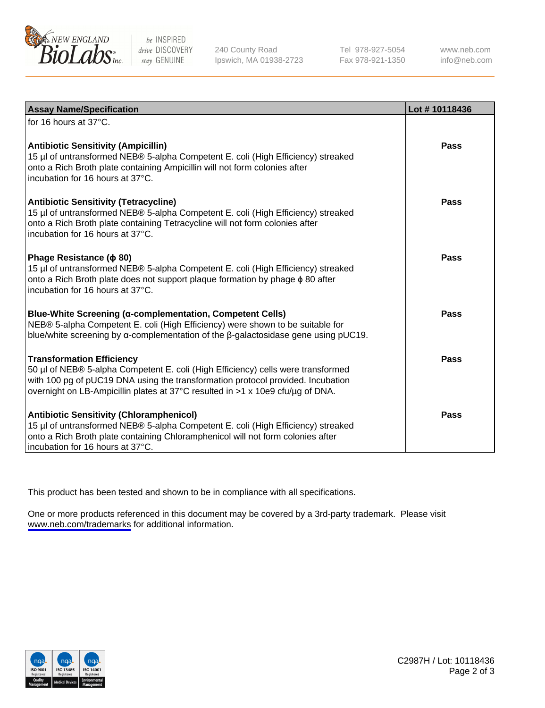

be INSPIRED drive DISCOVERY stay GENUINE

240 County Road Ipswich, MA 01938-2723 Tel 978-927-5054 Fax 978-921-1350

www.neb.com info@neb.com

| <b>Assay Name/Specification</b>                                                                                                                                                                                                                                                           | Lot #10118436 |
|-------------------------------------------------------------------------------------------------------------------------------------------------------------------------------------------------------------------------------------------------------------------------------------------|---------------|
| for 16 hours at 37°C.                                                                                                                                                                                                                                                                     |               |
| <b>Antibiotic Sensitivity (Ampicillin)</b><br>15 µl of untransformed NEB® 5-alpha Competent E. coli (High Efficiency) streaked<br>onto a Rich Broth plate containing Ampicillin will not form colonies after<br>incubation for 16 hours at 37°C.                                          | Pass          |
| <b>Antibiotic Sensitivity (Tetracycline)</b><br>15 µl of untransformed NEB® 5-alpha Competent E. coli (High Efficiency) streaked<br>onto a Rich Broth plate containing Tetracycline will not form colonies after<br>incubation for 16 hours at 37°C.                                      | Pass          |
| Phage Resistance ( $\phi$ 80)<br>15 µl of untransformed NEB® 5-alpha Competent E. coli (High Efficiency) streaked<br>onto a Rich Broth plate does not support plaque formation by phage $\phi$ 80 after<br>incubation for 16 hours at 37°C.                                               | Pass          |
| <b>Blue-White Screening (α-complementation, Competent Cells)</b><br>NEB® 5-alpha Competent E. coli (High Efficiency) were shown to be suitable for<br>blue/white screening by $\alpha$ -complementation of the $\beta$ -galactosidase gene using pUC19.                                   | Pass          |
| <b>Transformation Efficiency</b><br>50 µl of NEB® 5-alpha Competent E. coli (High Efficiency) cells were transformed<br>with 100 pg of pUC19 DNA using the transformation protocol provided. Incubation<br>overnight on LB-Ampicillin plates at 37°C resulted in >1 x 10e9 cfu/µg of DNA. | Pass          |
| <b>Antibiotic Sensitivity (Chloramphenicol)</b><br>15 µl of untransformed NEB® 5-alpha Competent E. coli (High Efficiency) streaked<br>onto a Rich Broth plate containing Chloramphenicol will not form colonies after<br>incubation for 16 hours at 37°C.                                | <b>Pass</b>   |

This product has been tested and shown to be in compliance with all specifications.

One or more products referenced in this document may be covered by a 3rd-party trademark. Please visit <www.neb.com/trademarks>for additional information.